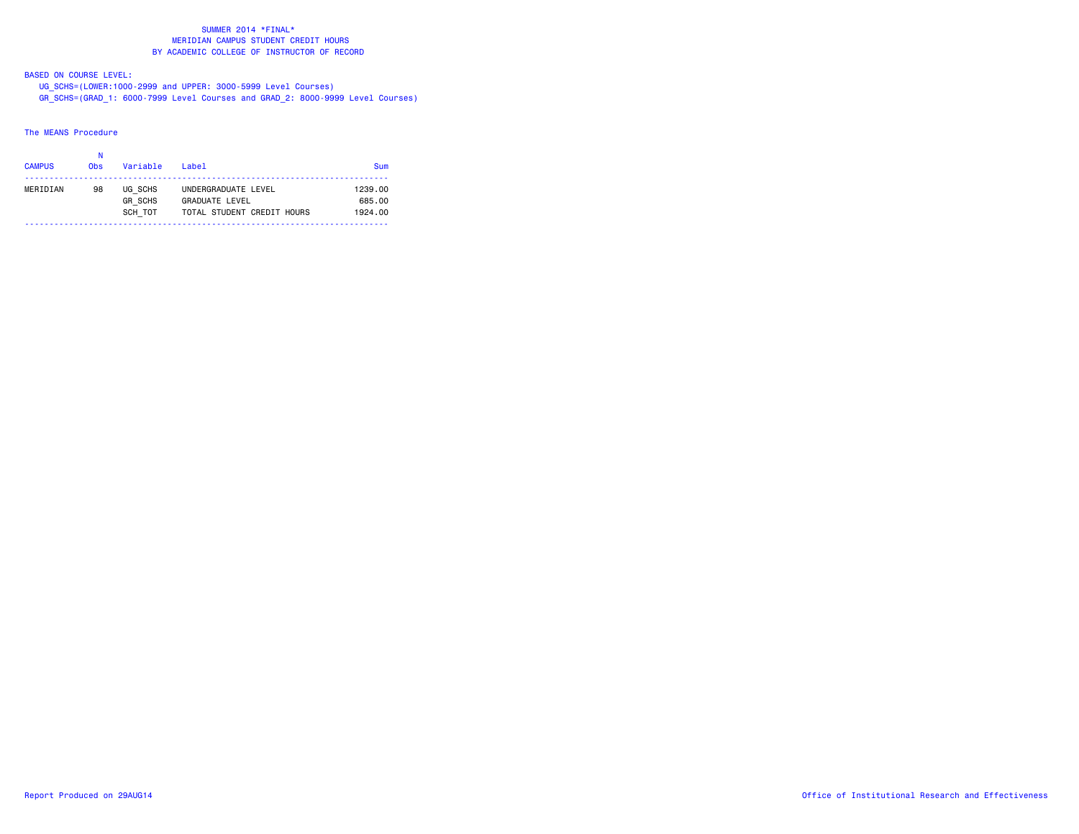BASED ON COURSE LEVEL:

 UG\_SCHS=(LOWER:1000-2999 and UPPER: 3000-5999 Level Courses) GR\_SCHS=(GRAD\_1: 6000-7999 Level Courses and GRAD\_2: 8000-9999 Level Courses)

The MEANS Procedure

| <b>CAMPUS</b> | <b>Obs</b> | Variable                  | $I$ ahel                                            | Sum               |
|---------------|------------|---------------------------|-----------------------------------------------------|-------------------|
| MERIDIAN      | 98         | UG SCHS                   | UNDERGRADUATE LEVEL                                 | 1239.00           |
|               |            | <b>GR SCHS</b><br>SCH TOT | <b>GRADUATE LEVEL</b><br>TOTAL STUDENT CREDIT HOURS | 685.00<br>1924.00 |
|               |            |                           |                                                     |                   |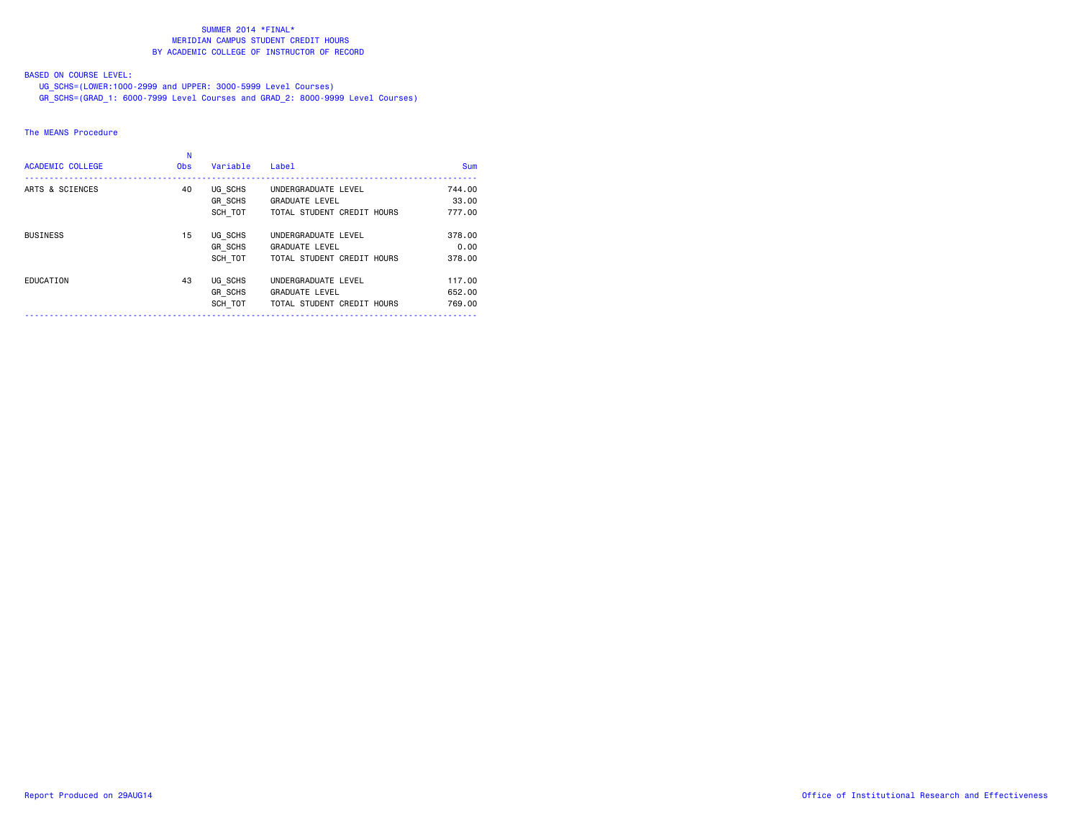# BASED ON COURSE LEVEL:

UG\_SCHS=(LOWER:1000-2999 and UPPER: 3000-5999 Level Courses)

GR\_SCHS=(GRAD\_1: 6000-7999 Level Courses and GRAD\_2: 8000-9999 Level Courses)

# The MEANS Procedure

| ARTS & SCIENCES<br>UG SCHS<br>40<br>UNDERGRADUATE LEVEL<br>GR SCHS<br><b>GRADUATE LEVEL</b><br>SCH TOT<br>TOTAL STUDENT CREDIT HOURS<br>UG SCHS<br>15<br><b>BUSINESS</b><br>UNDERGRADUATE LEVEL<br>GR SCHS<br><b>GRADUATE LEVEL</b><br>SCH TOT<br>TOTAL STUDENT CREDIT HOURS |                            |
|------------------------------------------------------------------------------------------------------------------------------------------------------------------------------------------------------------------------------------------------------------------------------|----------------------------|
|                                                                                                                                                                                                                                                                              | 744.00<br>33,00<br>777.00  |
|                                                                                                                                                                                                                                                                              | 378.00<br>0.00<br>378.00   |
| UG SCHS<br>EDUCATION<br>UNDERGRADUATE LEVEL<br>43<br>GR SCHS<br><b>GRADUATE LEVEL</b><br>SCH TOT<br>TOTAL STUDENT CREDIT HOURS                                                                                                                                               | 117.00<br>652.00<br>769,00 |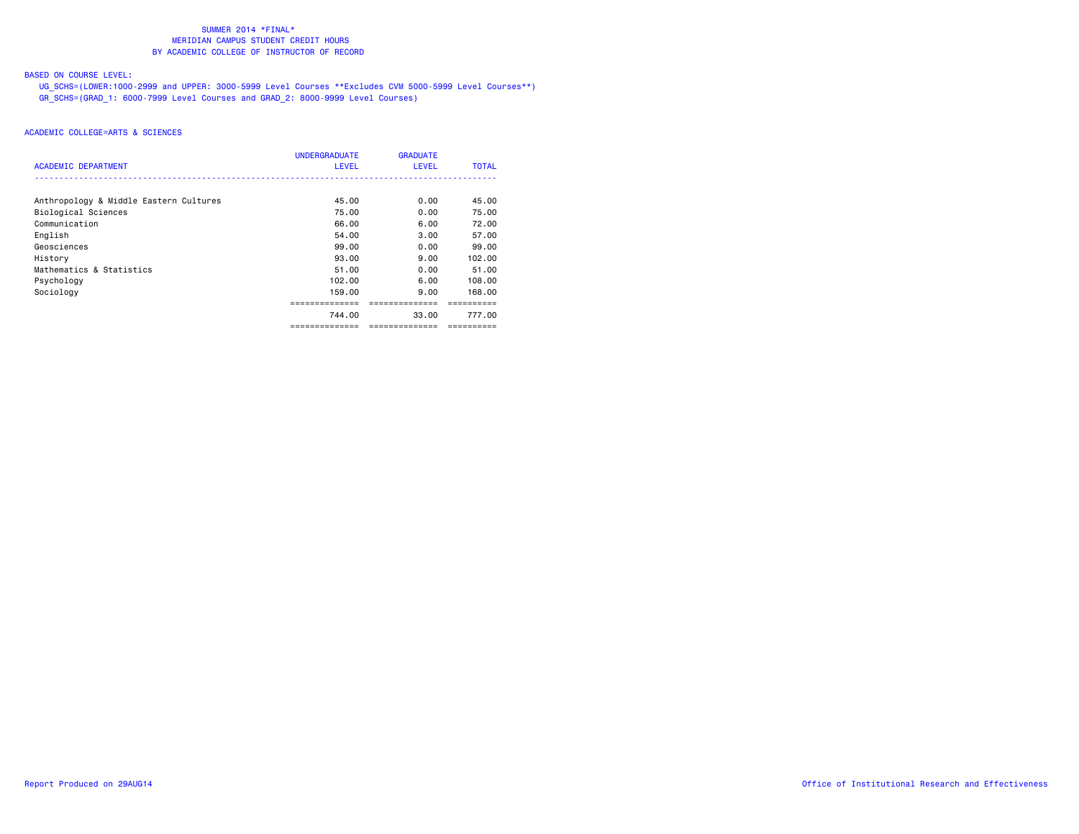# BASED ON COURSE LEVEL:

 UG\_SCHS=(LOWER:1000-2999 and UPPER: 3000-5999 Level Courses \*\*Excludes CVM 5000-5999 Level Courses\*\*) GR\_SCHS=(GRAD\_1: 6000-7999 Level Courses and GRAD\_2: 8000-9999 Level Courses)

|                                        | <b>UNDERGRADUATE</b> | <b>GRADUATE</b> |              |
|----------------------------------------|----------------------|-----------------|--------------|
| <b>ACADEMIC DEPARTMENT</b>             | <b>LEVEL</b>         | <b>LEVEL</b>    | <b>TOTAL</b> |
|                                        |                      |                 |              |
| Anthropology & Middle Eastern Cultures | 45.00                | 0.00            | 45.00        |
| Biological Sciences                    | 75.00                | 0.00            | 75.00        |
| Communication                          | 66.00                | 6.00            | 72.00        |
| English                                | 54.00                | 3.00            | 57.00        |
| Geosciences                            | 99.00                | 0.00            | 99.00        |
| History                                | 93.00                | 9.00            | 102.00       |
| Mathematics & Statistics               | 51.00                | 0.00            | 51,00        |
| Psychology                             | 102.00               | 6.00            | 108,00       |
| Sociology                              | 159.00               | 9.00            | 168.00       |
|                                        |                      |                 |              |
|                                        | 744.00               | 33.00           | 777.00       |
|                                        | ==============       | ==============  | ==========   |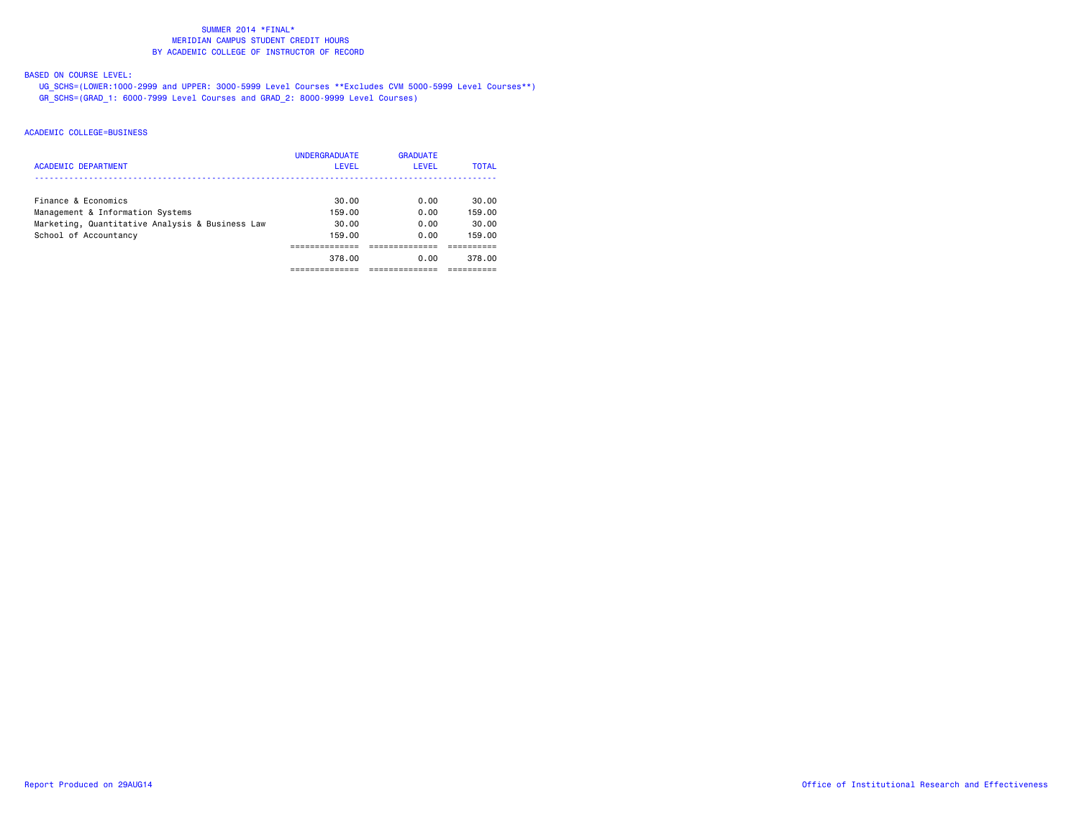#### BASED ON COURSE LEVEL:

 UG\_SCHS=(LOWER:1000-2999 and UPPER: 3000-5999 Level Courses \*\*Excludes CVM 5000-5999 Level Courses\*\*) GR\_SCHS=(GRAD\_1: 6000-7999 Level Courses and GRAD\_2: 8000-9999 Level Courses)

| <b>ACADEMIC DEPARTMENT</b>                      | <b>UNDERGRADUATE</b><br><b>LEVEL</b> | <b>GRADUATE</b><br><b>LEVEL</b> | <b>TOTAL</b> |
|-------------------------------------------------|--------------------------------------|---------------------------------|--------------|
| Finance & Economics                             | 30.00                                | 0.00                            | 30.00        |
| Management & Information Systems                | 159.00                               | 0.00                            | 159.00       |
| Marketing, Quantitative Analysis & Business Law | 30.00                                | 0.00                            | 30.00        |
| School of Accountancy                           | 159.00                               | 0.00                            | 159.00       |
|                                                 |                                      |                                 |              |
|                                                 | 378.00                               | 0.00                            | 378.00       |
|                                                 |                                      |                                 |              |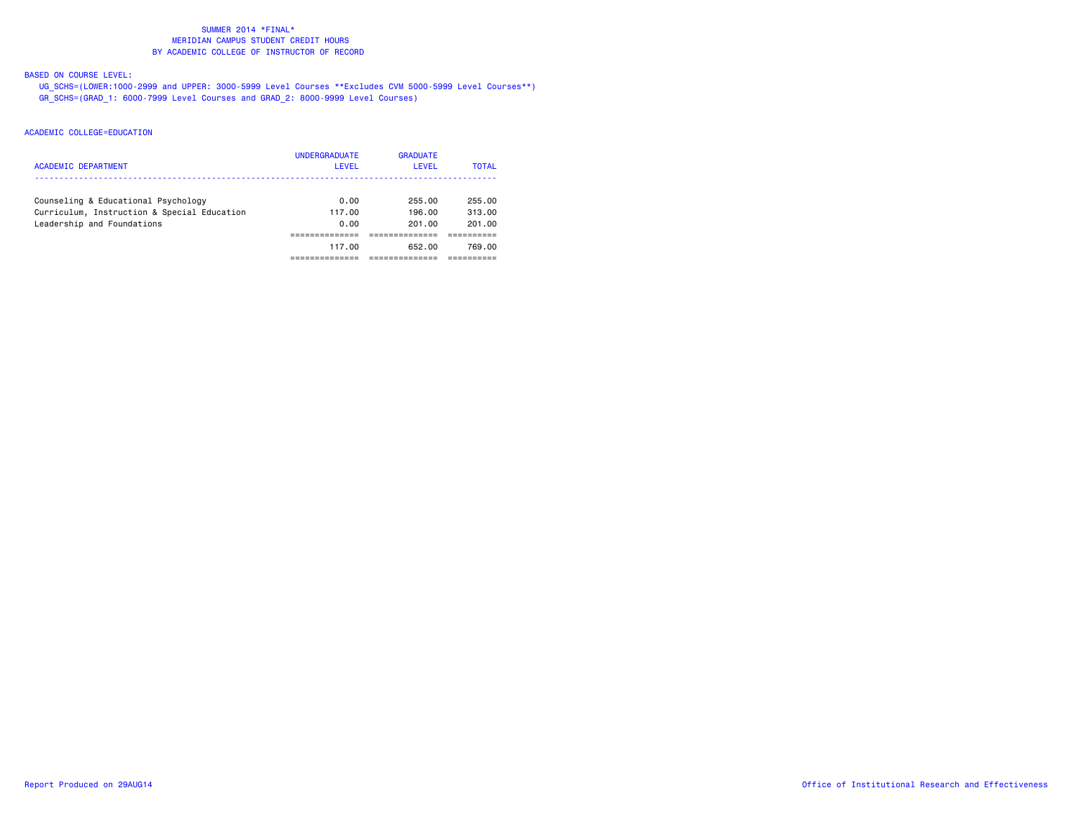### BASED ON COURSE LEVEL:

 UG\_SCHS=(LOWER:1000-2999 and UPPER: 3000-5999 Level Courses \*\*Excludes CVM 5000-5999 Level Courses\*\*) GR\_SCHS=(GRAD\_1: 6000-7999 Level Courses and GRAD\_2: 8000-9999 Level Courses)

| ACADEMIC DEPARTMENT                                                                | <b>UNDERGRADUATE</b><br>LEVEL | <b>GRADUATE</b><br>LEVEL | <b>TOTAL</b>     |
|------------------------------------------------------------------------------------|-------------------------------|--------------------------|------------------|
| Counseling & Educational Psychology<br>Curriculum, Instruction & Special Education | 0.00<br>117.00                | 255.00<br>196.00         | 255.00<br>313.00 |
| Leadership and Foundations                                                         | 0.00                          | 201.00                   | 201.00           |
|                                                                                    |                               |                          |                  |
|                                                                                    | 117.00                        | 652.00                   | 769.00           |
|                                                                                    |                               |                          |                  |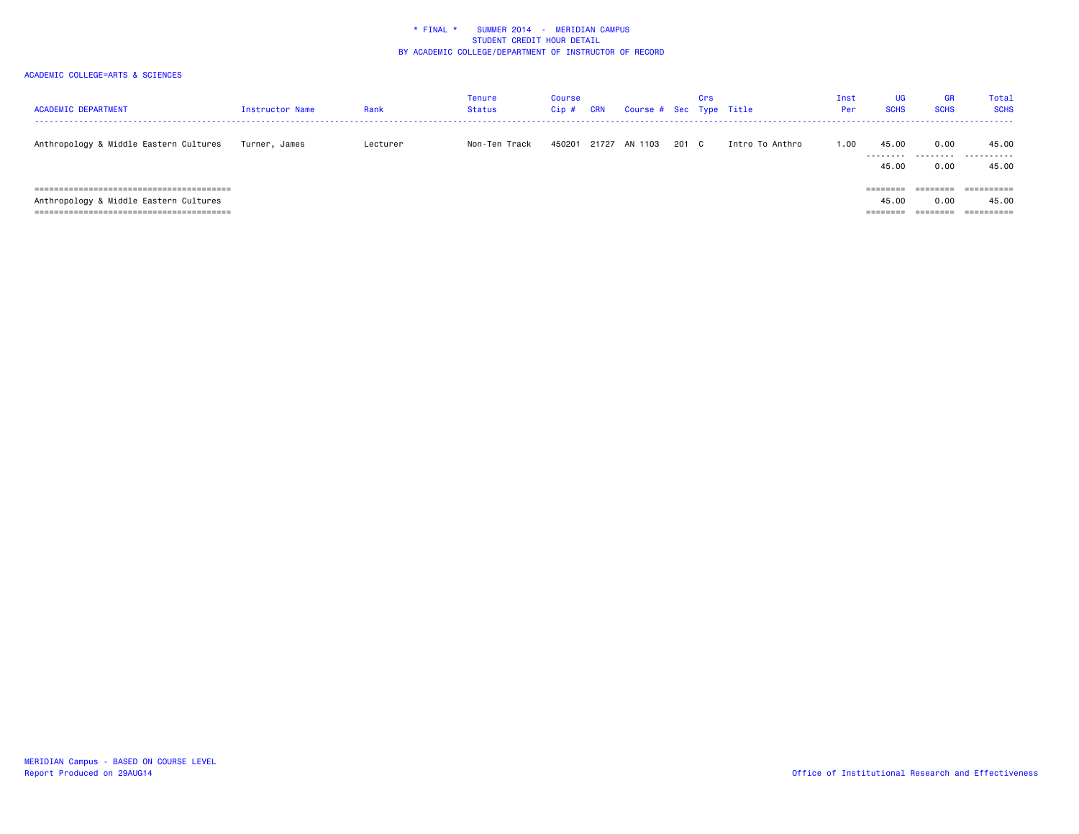| <b>ACADEMIC DEPARTMENT</b>             | Instructor Name | Rank     | <b>Tenure</b><br>Status | Course<br>$Cip$ # | <b>CRN</b> | Course # Sec Type Title |       | Crs |                 | Inst<br>Per | UG<br><b>SCHS</b> | <b>GR</b><br><b>SCHS</b> | Total<br><b>SCHS</b>    |
|----------------------------------------|-----------------|----------|-------------------------|-------------------|------------|-------------------------|-------|-----|-----------------|-------------|-------------------|--------------------------|-------------------------|
| Anthropology & Middle Eastern Cultures | Turner, James   | Lecturer | Non-Ten Track           | 450201            |            | 21727 AN 1103           | 201 C |     | Intro To Anthro | 1.00        | 45.00<br>.        | 0.00<br>.                | 45.00<br>-------<br>--- |
|                                        |                 |          |                         |                   |            |                         |       |     |                 |             | 45.00             | 0.00                     | 45.00                   |
|                                        |                 |          |                         |                   |            |                         |       |     |                 |             | --------          | ========                 |                         |
| Anthropology & Middle Eastern Cultures |                 |          |                         |                   |            |                         |       |     |                 |             | 45.00             | 0.00                     | 45.00                   |
|                                        |                 |          |                         |                   |            |                         |       |     |                 |             |                   | ========                 |                         |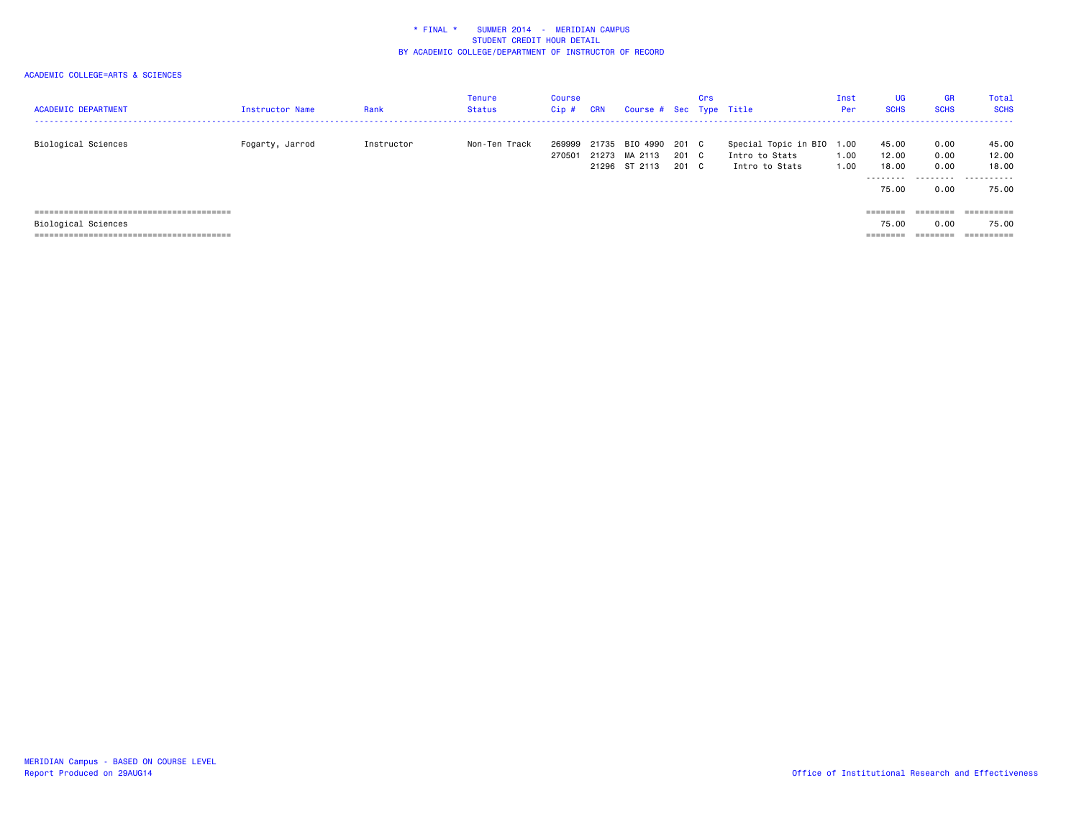| <b>ACADEMIC DEPARTMENT</b> | Instructor Name | Rank       | <b>Tenure</b><br><b>Status</b> | <b>Course</b><br>$Cip$ # | <b>CRN</b> | Course # Sec Type Title                                |                | Crs |                                                               | Inst<br>Per  | <b>UG</b><br><b>SCHS</b> | <b>GR</b><br><b>SCHS</b> | Total<br><b>SCHS</b>    |
|----------------------------|-----------------|------------|--------------------------------|--------------------------|------------|--------------------------------------------------------|----------------|-----|---------------------------------------------------------------|--------------|--------------------------|--------------------------|-------------------------|
| Biological Sciences        | Fogarty, Jarrod | Instructor | Non-Ten Track                  | 269999<br>270501         |            | 21735 BIO 4990 201 C<br>21273 MA 2113<br>21296 ST 2113 | 201 C<br>201 C |     | Special Topic in BIO 1.00<br>Intro to Stats<br>Intro to Stats | 1.00<br>1.00 | 45.00<br>12.00<br>18,00  | 0.00<br>0.00<br>0.00     | 45.00<br>12.00<br>18,00 |
|                            |                 |            |                                |                          |            |                                                        |                |     |                                                               |              | .<br>75.00               | 0.00                     | .<br>75.00              |
|                            |                 |            |                                |                          |            |                                                        |                |     |                                                               |              | ========                 | ========                 | ==========              |
| Biological Sciences        |                 |            |                                |                          |            |                                                        |                |     |                                                               |              | 75.00                    | 0.00                     | 75.00                   |
|                            |                 |            |                                |                          |            |                                                        |                |     |                                                               |              | ========                 | ========                 | ==========              |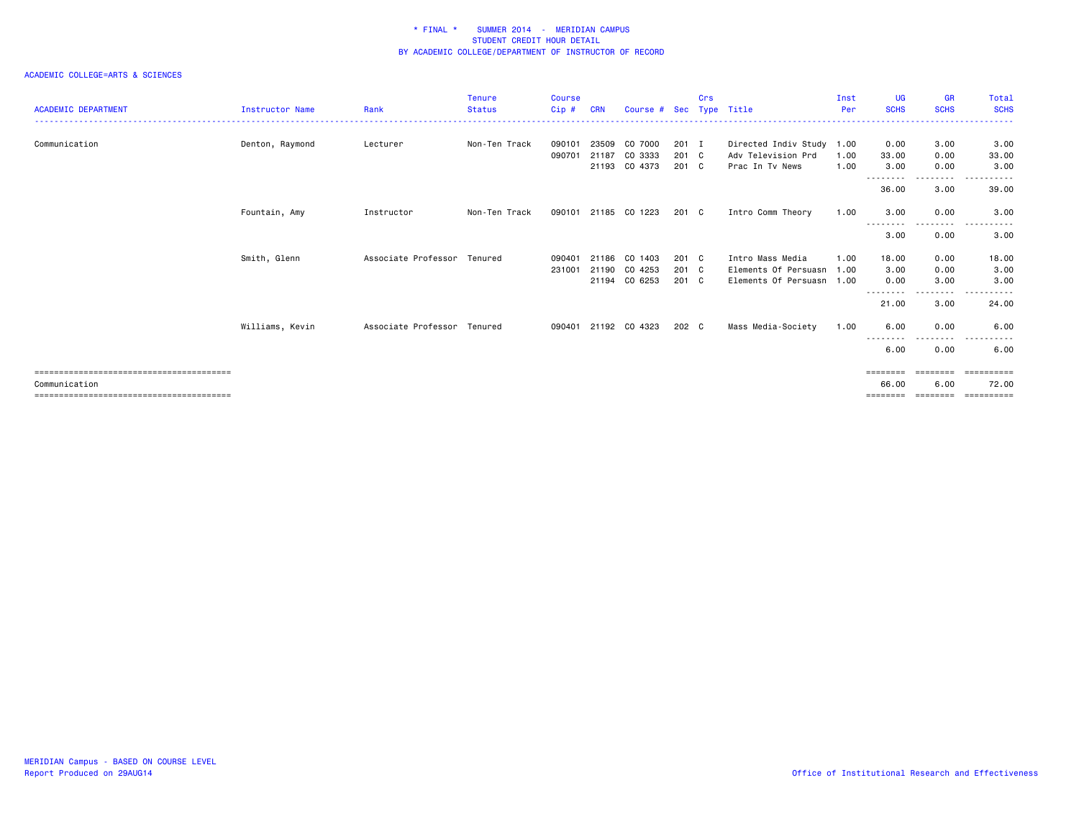| <b>ACADEMIC DEPARTMENT</b>                         | <b>Instructor Name</b> | Rank                        | <b>Tenure</b><br><b>Status</b> | <b>Course</b><br>Cip# | <b>CRN</b>     | Course # Sec Type Title  |                        | Crs |                                                 | Inst<br>Per  | UG<br><b>SCHS</b>             | <b>GR</b><br><b>SCHS</b>     | Total<br><b>SCHS</b><br>.         |
|----------------------------------------------------|------------------------|-----------------------------|--------------------------------|-----------------------|----------------|--------------------------|------------------------|-----|-------------------------------------------------|--------------|-------------------------------|------------------------------|-----------------------------------|
| Communication                                      | Denton, Raymond        | Lecturer                    | Non-Ten Track                  | 090101<br>090701      | 23509<br>21187 | CO 7000<br>CO 3333       | $201$ I<br>$201$ C     |     | Directed Indiv Study 1.00<br>Adv Television Prd | 1.00         | 0.00<br>33.00                 | 3.00<br>0.00                 | 3.00<br>33.00                     |
|                                                    |                        |                             |                                |                       |                | 21193 CO 4373            | 201 C                  |     | Prac In Tv News                                 | 1.00         | 3.00                          | 0.00                         | 3.00                              |
|                                                    |                        |                             |                                |                       |                |                          |                        |     |                                                 |              | --------<br>36.00             | ---------<br>3.00            | .<br>39.00                        |
|                                                    | Fountain, Amy          | Instructor                  | Non-Ten Track                  | 090101                |                | 21185 CO 1223            | 201 C                  |     | Intro Comm Theory                               | 1.00         | 3.00<br>--------              | 0.00<br>$\cdots$             | 3.00                              |
|                                                    |                        |                             |                                |                       |                |                          |                        |     |                                                 |              | 3.00                          | 0.00                         | 3.00                              |
|                                                    | Smith, Glenn           | Associate Professor Tenured |                                | 090401                | 21186          | CO 1403                  | $201$ C                |     | Intro Mass Media                                | 1.00         | 18.00                         | 0.00                         | 18.00                             |
|                                                    |                        |                             |                                | 231001                | 21190          | CO 4253<br>21194 CO 6253 | $201 \quad C$<br>201 C |     | Elements Of Persuasn<br>Elements Of Persuasn    | 1.00<br>1.00 | 3.00<br>0.00                  | 0.00<br>3.00                 | 3.00<br>3.00                      |
|                                                    |                        |                             |                                |                       |                |                          |                        |     |                                                 |              | $- - -$<br>----<br>21.00      | .<br>3.00                    | .<br>24.00                        |
|                                                    | Williams, Kevin        | Associate Professor         | Tenured                        | 090401                |                | 21192 CO 4323            | 202 C                  |     | Mass Media-Society                              | 1.00         | 6.00<br>--------              | 0.00<br>- - - - - -          | 6.00                              |
|                                                    |                        |                             |                                |                       |                |                          |                        |     |                                                 |              | 6.00                          | 0.00                         | 6.00                              |
| ---------------------------------<br>Communication |                        |                             |                                |                       |                |                          |                        |     |                                                 |              | ========<br>66.00<br>======== | ========<br>6.00<br>======== | ==========<br>72.00<br>========== |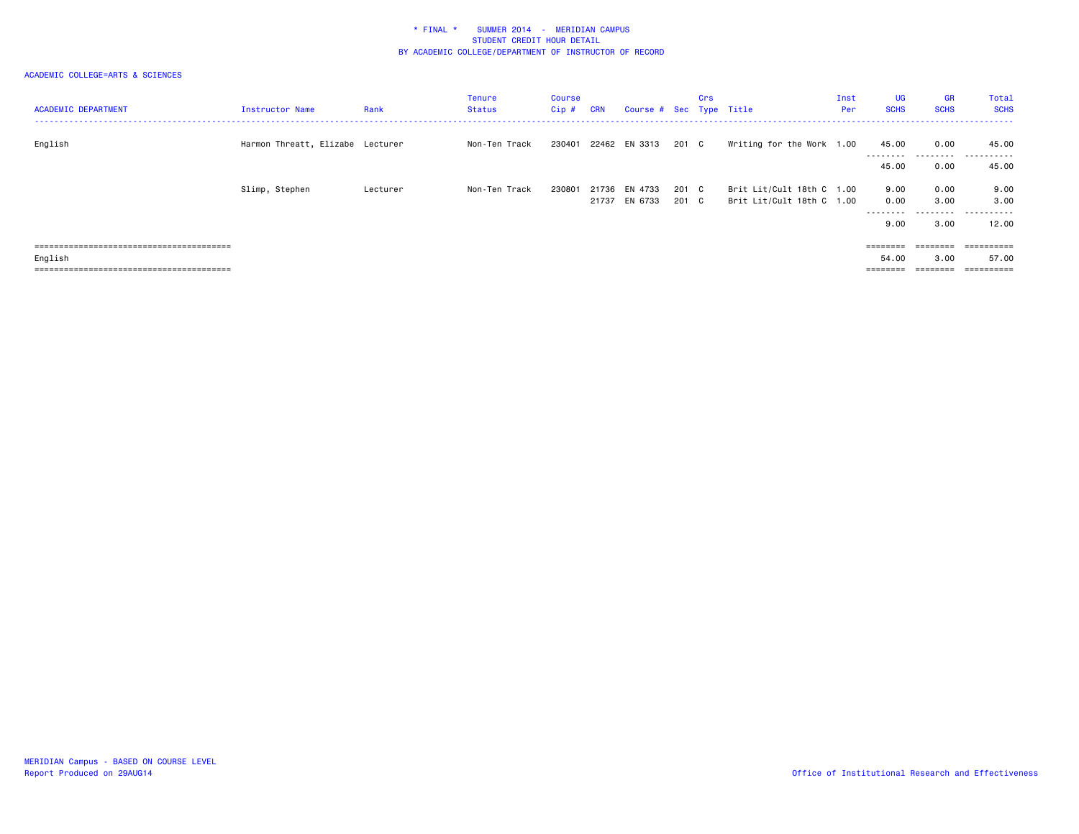| <b>ACADEMIC DEPARTMENT</b> | Instructor Name                  | Rank     | Tenure<br>Status | Course<br>$Cip$ # | <b>CRN</b> | Course # Sec Type Title |       | Crs |                           | Inst<br>Per | <b>UG</b><br><b>SCHS</b>                                                | <b>GR</b><br><b>SCHS</b> | Total<br><b>SCHS</b> |
|----------------------------|----------------------------------|----------|------------------|-------------------|------------|-------------------------|-------|-----|---------------------------|-------------|-------------------------------------------------------------------------|--------------------------|----------------------|
| English                    | Harmon Threatt, Elizabe Lecturer |          | Non-Ten Track    |                   |            | 230401 22462 EN 3313    | 201 C |     | Writing for the Work 1.00 |             | 45.00                                                                   | 0.00<br>---------        | 45.00<br>.<br>.      |
|                            |                                  |          |                  |                   |            |                         |       |     |                           |             | 45.00                                                                   | 0.00                     | 45.00                |
|                            | Slimp, Stephen                   | Lecturer | Non-Ten Track    | 230801            |            | 21736 EN 4733           | 201 C |     | Brit Lit/Cult 18th C 1.00 |             | 9.00                                                                    | 0.00                     | 9.00                 |
|                            |                                  |          |                  |                   |            | 21737 EN 6733           | 201 C |     | Brit Lit/Cult 18th C 1.00 |             | 0.00<br>---------                                                       | 3.00<br>---------        | 3.00<br>.            |
|                            |                                  |          |                  |                   |            |                         |       |     |                           |             | 9.00                                                                    | 3.00                     | 12.00                |
|                            |                                  |          |                  |                   |            |                         |       |     |                           |             | $\qquad \qquad \equiv \equiv \equiv \equiv \equiv \equiv \equiv \equiv$ | ========                 | ==========           |
| English                    |                                  |          |                  |                   |            |                         |       |     |                           |             | 54.00                                                                   | 3.00                     | 57.00                |
|                            |                                  |          |                  |                   |            |                         |       |     |                           |             |                                                                         |                          |                      |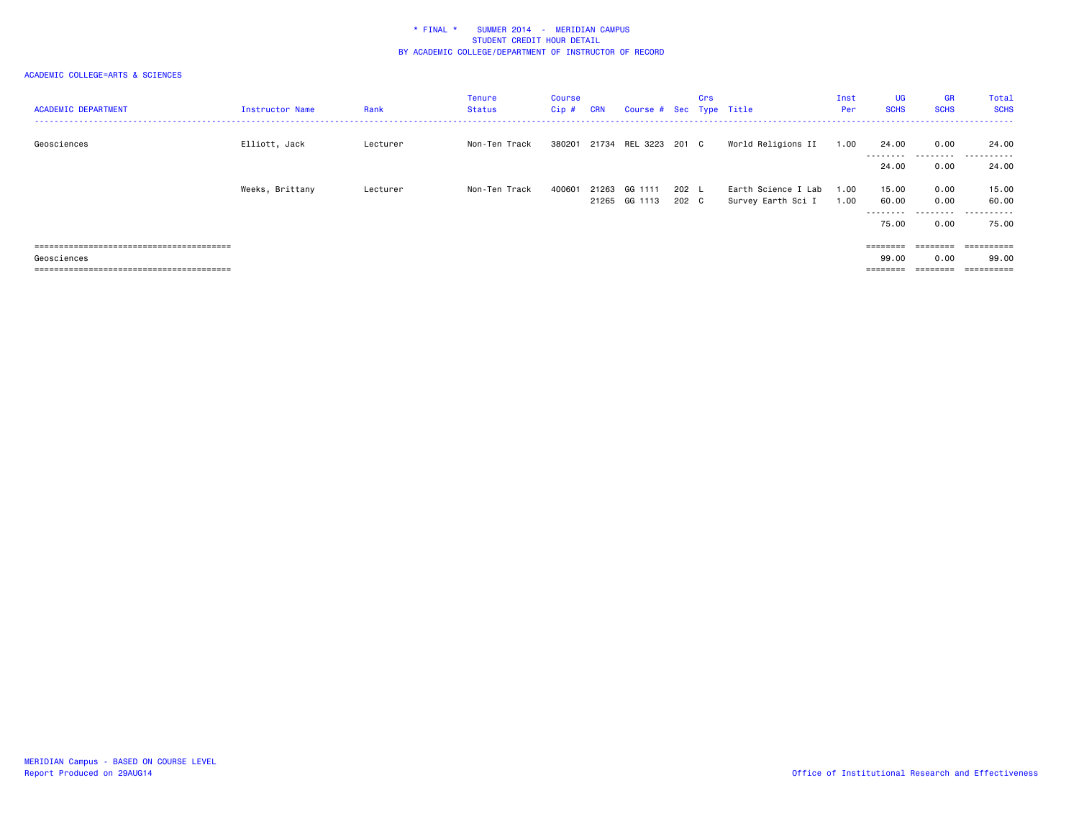| <b>ACADEMIC DEPARTMENT</b> | Instructor Name | Rank     | Tenure<br>Status | Course<br>$Cip$ # | <b>CRN</b> | Course # Sec Type Title  |                | Crs |                                           | Inst<br>Per  | UG<br><b>SCHS</b>          | <b>GR</b><br><b>SCHS</b> | Total<br><b>SCHS</b> |
|----------------------------|-----------------|----------|------------------|-------------------|------------|--------------------------|----------------|-----|-------------------------------------------|--------------|----------------------------|--------------------------|----------------------|
| Geosciences                | Elliott, Jack   | Lecturer | Non-Ten Track    | 380201            |            | 21734 REL 3223           | 201 C          |     | World Religions II                        | 1.00         | 24.00<br>--------<br>24.00 | 0.00<br>.<br>0.00        | 24.00<br>.<br>24.00  |
|                            | Weeks, Brittany | Lecturer | Non-Ten Track    | 400601            | 21263      | GG 1111<br>21265 GG 1113 | 202 L<br>202 C |     | Earth Science I Lab<br>Survey Earth Sci I | 1.00<br>1.00 | 15.00<br>60.00             | 0.00<br>0.00             | 15.00<br>60.00       |
|                            |                 |          |                  |                   |            |                          |                |     |                                           |              | ---------<br>75.00         | 0.00                     | .<br>75.00           |
|                            |                 |          |                  |                   |            |                          |                |     |                                           |              |                            | $=$ = = = = = = =        | ==========           |
| Geosciences                |                 |          |                  |                   |            |                          |                |     |                                           |              | 99.00                      | 0.00                     | 99.00                |
|                            |                 |          |                  |                   |            |                          |                |     |                                           |              | ========                   |                          | ==========           |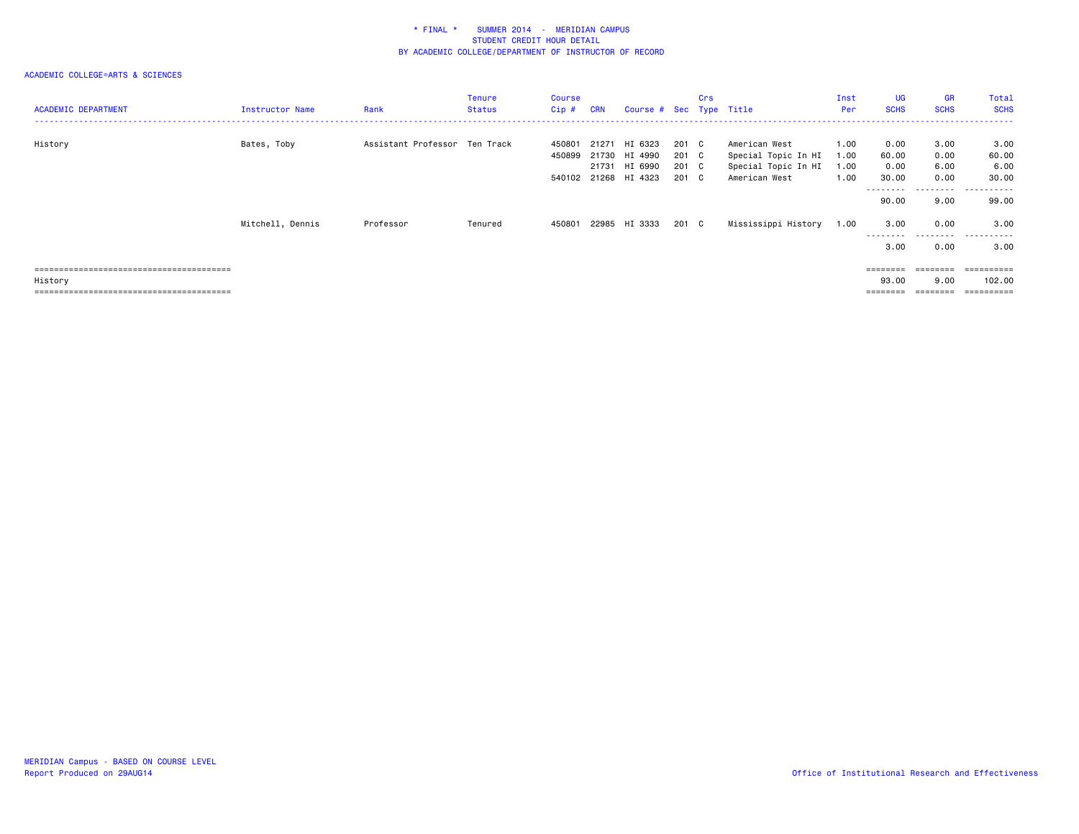| <b>ACADEMIC DEPARTMENT</b> | Instructor Name  | Rank                          | <b>Tenure</b><br>Status | Course<br>$Cip$ # | <b>CRN</b> | Course # Sec Type Title                   |                         | Crs |                                                             | Inst<br>Per          | <b>UG</b><br><b>SCHS</b>    | <b>GR</b><br><b>SCHS</b>  | Total<br><b>SCHS</b>                  |
|----------------------------|------------------|-------------------------------|-------------------------|-------------------|------------|-------------------------------------------|-------------------------|-----|-------------------------------------------------------------|----------------------|-----------------------------|---------------------------|---------------------------------------|
| History                    | Bates, Toby      | Assistant Professor Ten Track |                         | 450801<br>450899  | 21271      | HI 6323<br>21730 HI 4990<br>21731 HI 6990 | 201 C<br>201 C<br>201 C |     | American West<br>Special Topic In HI<br>Special Topic In HI | 1.00<br>1.00<br>1.00 | 0.00<br>60.00<br>0.00       | 3.00<br>0.00<br>6.00      | 3.00<br>60.00<br>6.00                 |
|                            |                  |                               |                         |                   |            | 540102 21268 HI 4323                      | 201 C                   |     | American West                                               | 1.00                 | 30.00<br>---------<br>90.00 | 0.00<br>---------<br>9.00 | 30.00<br>------<br>$- - - -$<br>99.00 |
|                            | Mitchell, Dennis | Professor                     | Tenured                 | 450801            |            | 22985 HI 3333                             | 201 C                   |     | Mississippi History                                         | 1.00                 | 3.00<br>---------           | 0.00<br>.                 | 3.00<br>.                             |
|                            |                  |                               |                         |                   |            |                                           |                         |     |                                                             |                      | 3.00                        | 0.00                      | 3.00                                  |
| History                    |                  |                               |                         |                   |            |                                           |                         |     |                                                             |                      | ========<br>93.00           | ========<br>9.00          | $=$ = = = = = = = = =<br>102.00       |
|                            |                  |                               |                         |                   |            |                                           |                         |     |                                                             |                      |                             |                           | ========                              |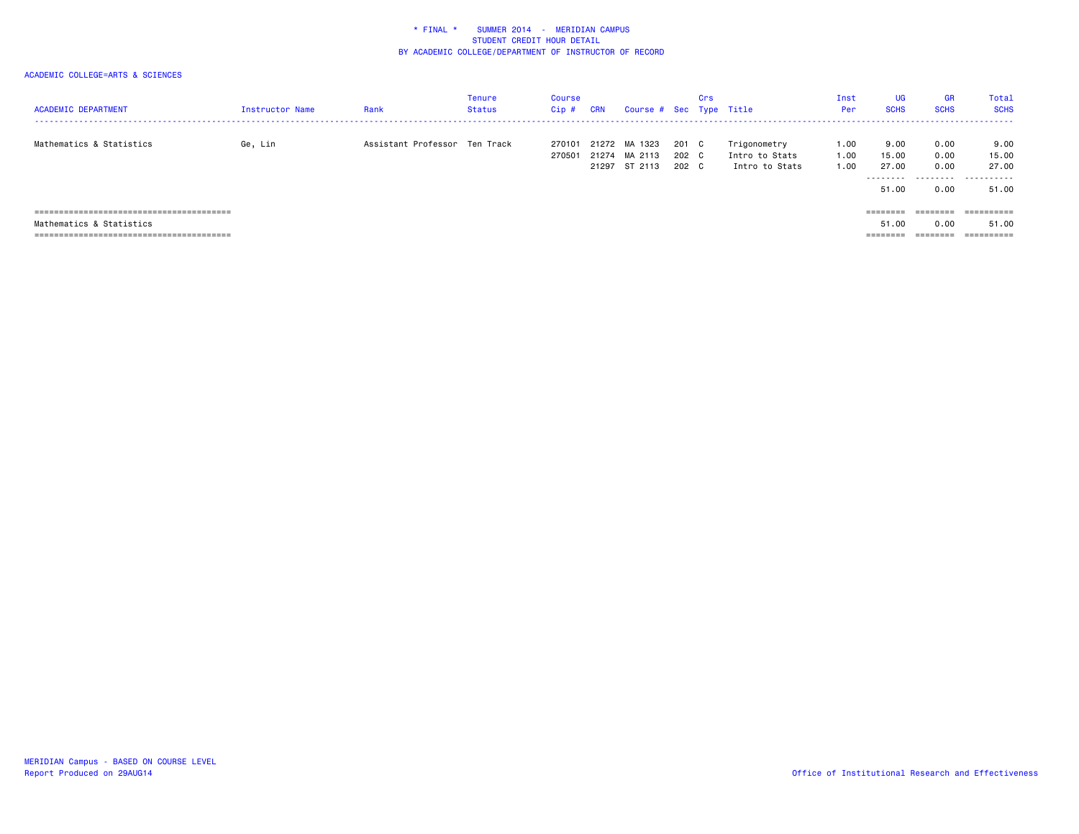| <b>ACADEMIC DEPARTMENT</b> | Instructor Name | Rank                          | <b>Tenure</b><br>Status | Course<br>$Cip$ # | <b>CRN</b> | Course # Sec Type Title |       | Crs |                | Inst<br>Per | UG<br><b>SCHS</b> | <b>GR</b><br><b>SCHS</b> | <b>Total</b><br><b>SCHS</b> |
|----------------------------|-----------------|-------------------------------|-------------------------|-------------------|------------|-------------------------|-------|-----|----------------|-------------|-------------------|--------------------------|-----------------------------|
| Mathematics & Statistics   | Ge, Lin         | Assistant Professor Ten Track |                         | 270101            |            | 21272 MA 1323           | 201 C |     | Trigonometry   | 1.00        | 9.00              | 0.00                     | 9.00                        |
|                            |                 |                               |                         | 270501            |            | 21274 MA 2113           | 202 C |     | Intro to Stats | 1.00        | 15.00             | 0.00                     | 15.00                       |
|                            |                 |                               |                         |                   |            | 21297 ST 2113           | 202 C |     | Intro to Stats | 1.00        | 27.00             | 0.00                     | 27.00                       |
|                            |                 |                               |                         |                   |            |                         |       |     |                |             | .<br>51.00        | .<br>0.00                | .<br>51.00                  |
|                            |                 |                               |                         |                   |            |                         |       |     |                |             | ========          | ========                 | ==========                  |
| Mathematics & Statistics   |                 |                               |                         |                   |            |                         |       |     |                |             | 51.00             | 0.00                     | 51.00                       |
|                            |                 |                               |                         |                   |            |                         |       |     |                |             | ========          | ========                 | ==========                  |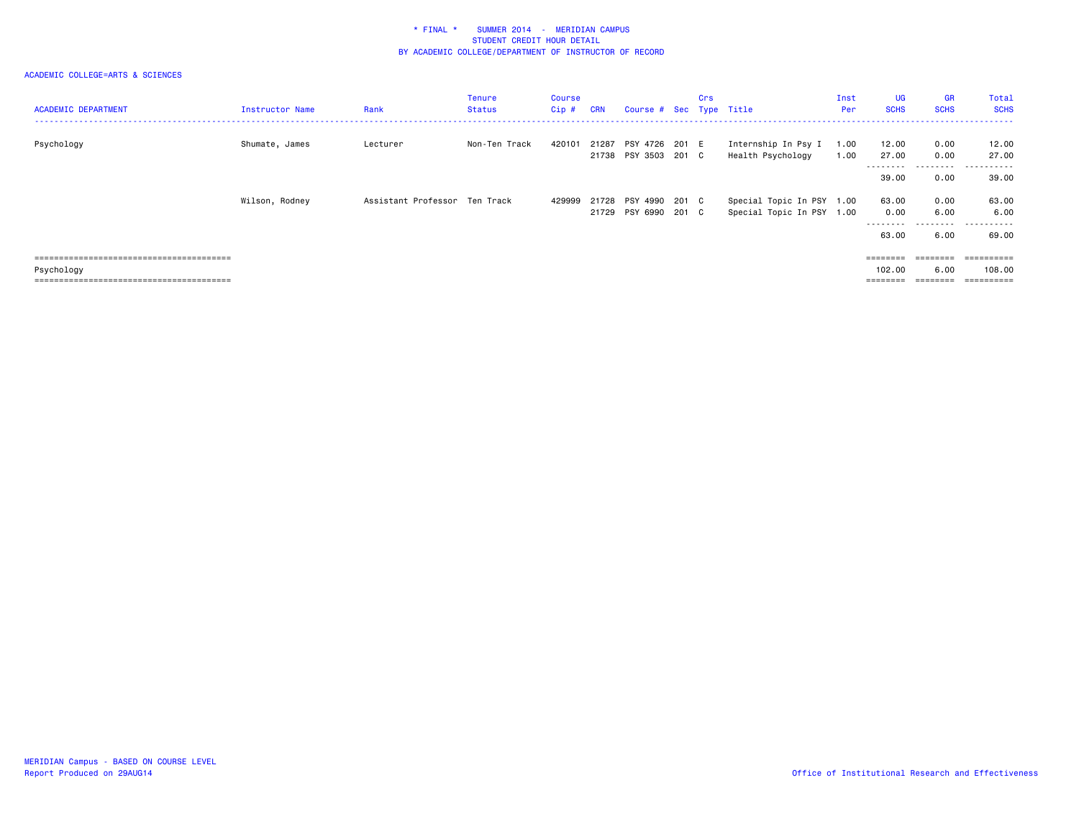| <b>ACADEMIC DEPARTMENT</b>            | Instructor Name | Rank                          | Tenure<br>Status | Course<br>$Cip$ # | <b>CRN</b> | Course # Sec Type Title                      | Crs |                                                        | Inst<br>Per  | <b>UG</b><br><b>SCHS</b>                                                                     | <b>GR</b><br><b>SCHS</b>  | Total<br><b>SCHS</b>               |
|---------------------------------------|-----------------|-------------------------------|------------------|-------------------|------------|----------------------------------------------|-----|--------------------------------------------------------|--------------|----------------------------------------------------------------------------------------------|---------------------------|------------------------------------|
| Psychology                            | Shumate, James  | Lecturer                      | Non-Ten Track    | 420101            | 21287      | PSY 4726 201 E<br>21738 PSY 3503 201 C       |     | Internship In Psy I<br>Health Psychology               | 1.00<br>1.00 | 12.00<br>27.00<br>---------                                                                  | 0.00<br>0.00<br>--------- | 12.00<br>27.00<br>.                |
|                                       |                 |                               |                  |                   |            |                                              |     |                                                        |              | 39.00                                                                                        | 0.00                      | 39.00                              |
|                                       | Wilson, Rodney  | Assistant Professor Ten Track |                  | 429999            |            | 21728 PSY 4990 201 C<br>21729 PSY 6990 201 C |     | Special Topic In PSY 1.00<br>Special Topic In PSY 1.00 |              | 63.00<br>0.00<br>---------<br>63.00                                                          | 0.00<br>6.00<br>--------- | 63.00<br>6.00<br>.                 |
|                                       |                 |                               |                  |                   |            |                                              |     |                                                        |              |                                                                                              | 6.00                      | 69.00                              |
| Psychology<br>----------------------- |                 |                               |                  |                   |            |                                              |     |                                                        |              | $\qquad \qquad \equiv \equiv \equiv \equiv \equiv \equiv \equiv \equiv$<br>102.00<br>======= | 6.00                      | ==========<br>108.00<br>========== |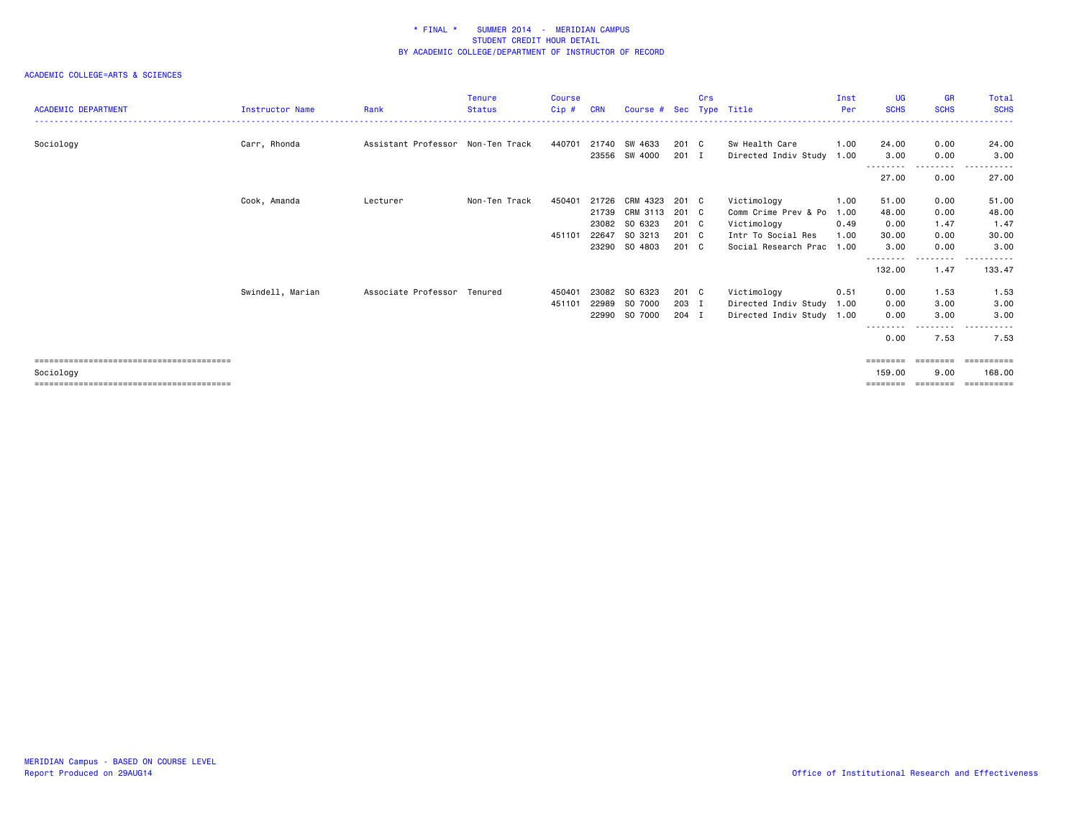| <b>ACADEMIC DEPARTMENT</b> | Instructor Name  | Rank                              | <b>Tenure</b><br><b>Status</b> | <b>Course</b><br>$Cip$ # | <b>CRN</b> | Course #      | Sec   | Crs<br><b>Type</b> | Title                     | Inst<br>Per | UG<br><b>SCHS</b> | <b>GR</b><br><b>SCHS</b> | <b>Total</b><br><b>SCHS</b> |
|----------------------------|------------------|-----------------------------------|--------------------------------|--------------------------|------------|---------------|-------|--------------------|---------------------------|-------------|-------------------|--------------------------|-----------------------------|
|                            |                  |                                   |                                |                          |            |               |       |                    |                           |             |                   |                          |                             |
| Sociology                  | Carr, Rhonda     | Assistant Professor Non-Ten Track |                                | 440701                   |            | 21740 SW 4633 | 201 C |                    | Sw Health Care            | 1.00        | 24.00             | 0.00                     | 24.00                       |
|                            |                  |                                   |                                |                          |            | 23556 SW 4000 | 201 I |                    | Directed Indiv Study 1.00 |             | 3.00              | 0.00                     | 3.00                        |
|                            |                  |                                   |                                |                          |            |               |       |                    |                           |             | 27.00             | 0.00                     | 27.00                       |
|                            | Cook, Amanda     | Lecturer                          | Non-Ten Track                  | 450401                   | 21726      | CRM 4323      | 201 C |                    | Victimology               | 1.00        | 51.00             | 0.00                     | 51.00                       |
|                            |                  |                                   |                                |                          | 21739      | CRM 3113      | 201 C |                    | Comm Crime Prev & Po      | 1.00        | 48.00             | 0.00                     | 48.00                       |
|                            |                  |                                   |                                |                          |            | 23082 SO 6323 | 201 C |                    | Victimology               | 0.49        | 0.00              | 1.47                     | 1.47                        |
|                            |                  |                                   |                                | 451101                   | 22647      | SO 3213       | 201 C |                    | Intr To Social Res        | 1.00        | 30.00             | 0.00                     | 30.00                       |
|                            |                  |                                   |                                |                          |            | 23290 SO 4803 | 201 C |                    | Social Research Prac      | 1.00        | 3.00              | 0.00<br>.                | 3,00<br>.                   |
|                            |                  |                                   |                                |                          |            |               |       |                    |                           |             | 132.00            | 1.47                     | 133.47                      |
|                            | Swindell, Marian | Associate Professor               | Tenured                        | 450401                   |            | 23082 SO 6323 | 201 C |                    | Victimology               | 0.51        | 0.00              | 1.53                     | 1.53                        |
|                            |                  |                                   |                                | 451101                   |            | 22989 SO 7000 | 203 I |                    | Directed Indiv Study 1.00 |             | 0.00              | 3.00                     | 3.00                        |
|                            |                  |                                   |                                |                          |            | 22990 SO 7000 | 204 I |                    | Directed Indiv Study 1.00 |             | 0.00              | 3.00                     | 3.00                        |
|                            |                  |                                   |                                |                          |            |               |       |                    |                           |             |                   | $\cdots$                 | $- - -$                     |
|                            |                  |                                   |                                |                          |            |               |       |                    |                           |             | 0.00              | 7.53                     | 7.53                        |
|                            |                  |                                   |                                |                          |            |               |       |                    |                           |             | ========          |                          | eessesses                   |
| Sociology                  |                  |                                   |                                |                          |            |               |       |                    |                           |             | 159.00            | 9.00                     | 168.00                      |
|                            |                  |                                   |                                |                          |            |               |       |                    |                           |             | ========          | ========                 | ==========                  |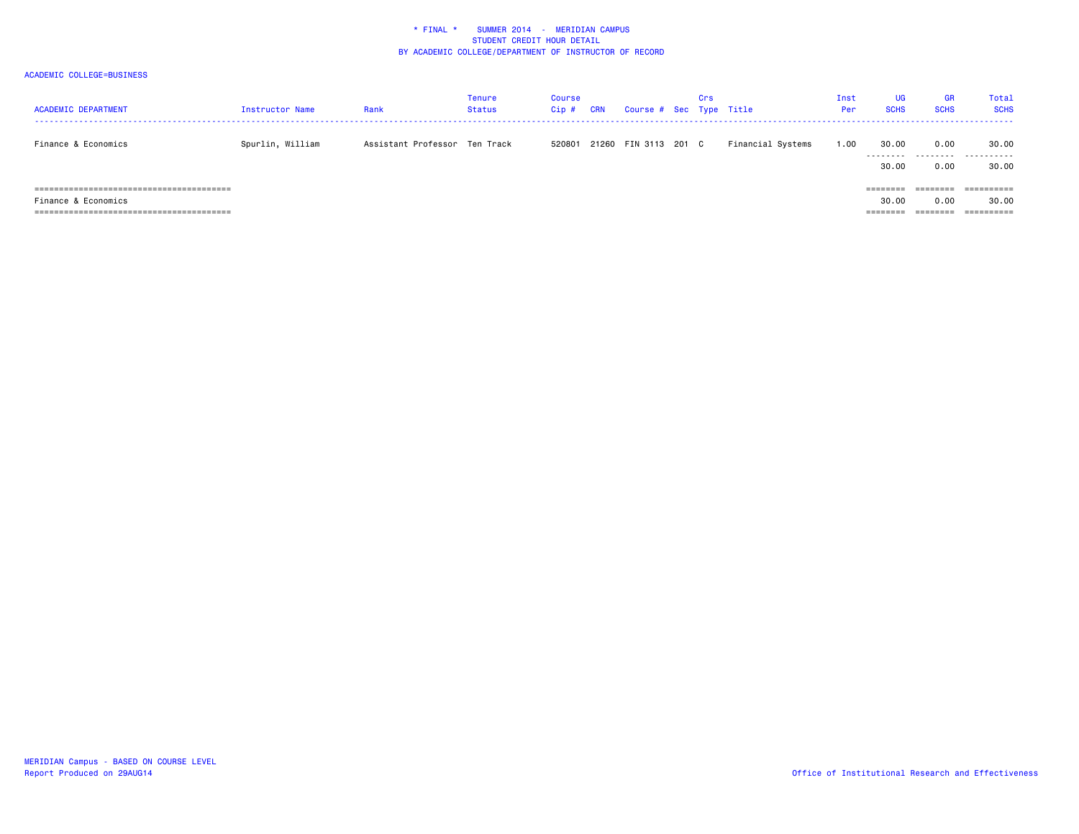| <b>ACADEMIC DEPARTMENT</b> | Instructor Name  | Rank                          | <b>Tenure</b><br>Status | Course<br>$Cip$ # | <b>CRN</b> | Course # Sec Type Title | Crs |                   | Inst<br>Per | UG<br><b>SCHS</b> | <b>GR</b><br><b>SCHS</b> | Total<br><b>SCHS</b> |
|----------------------------|------------------|-------------------------------|-------------------------|-------------------|------------|-------------------------|-----|-------------------|-------------|-------------------|--------------------------|----------------------|
| Finance & Economics        | Spurlin, William | Assistant Professor Ten Track |                         | 520801            |            | 21260 FIN 3113 201 C    |     | Financial Systems | 1.00        | 30.00<br>.        | 0.00<br>.                | 30.00<br>.           |
|                            |                  |                               |                         |                   |            |                         |     |                   |             | 30.00             | 0.00                     | 30.00                |
|                            |                  |                               |                         |                   |            |                         |     |                   |             |                   |                          |                      |
|                            |                  |                               |                         |                   |            |                         |     |                   |             | --------          | ________<br>--------     | ----------           |
| Finance & Economics        |                  |                               |                         |                   |            |                         |     |                   |             | 30.00             | 0.00                     | 30.00                |
|                            |                  |                               |                         |                   |            |                         |     |                   |             | --------          | ========                 |                      |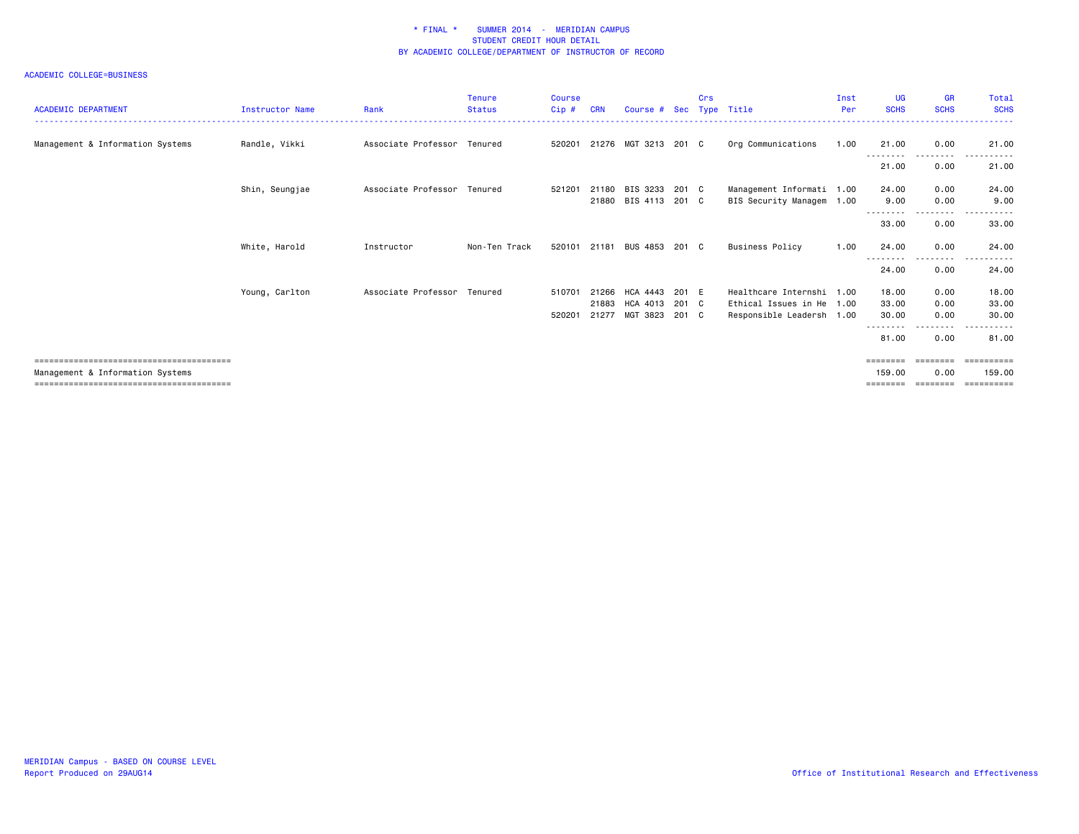| <b>ACADEMIC DEPARTMENT</b>       | <b>Instructor Name</b> | Rank                        | <b>Tenure</b><br><b>Status</b> | <b>Course</b><br>Cip# | <b>CRN</b> | Course # Sec Type Title |       | Crs |                           | Inst<br>Per | <b>UG</b><br><b>SCHS</b> | <b>GR</b><br><b>SCHS</b> | Total<br><b>SCHS</b> |
|----------------------------------|------------------------|-----------------------------|--------------------------------|-----------------------|------------|-------------------------|-------|-----|---------------------------|-------------|--------------------------|--------------------------|----------------------|
| Management & Information Systems | Randle, Vikki          | Associate Professor Tenured |                                | 520201                |            | 21276 MGT 3213 201 C    |       |     | Org Communications        | 1.00        | 21.00                    | 0.00                     | 21.00                |
|                                  |                        |                             |                                |                       |            |                         |       |     |                           |             | .<br>21.00               | .<br>0.00                | $  -$<br>21.00       |
|                                  | Shin, Seungjae         | Associate Professor Tenured |                                | 521201                | 21180      | BIS 3233                | 201 C |     | Management Informati 1.00 |             | 24.00                    | 0.00                     | 24.00                |
|                                  |                        |                             |                                |                       |            | 21880 BIS 4113          | 201 C |     | BIS Security Managem 1.00 |             | 9.00<br>--------         | 0.00<br>--------         | 9.00                 |
|                                  |                        |                             |                                |                       |            |                         |       |     |                           |             | 33.00                    | 0.00                     | 33.00                |
|                                  | White, Harold          | Instructor                  | Non-Ten Track                  | 520101                |            | 21181 BUS 4853 201 C    |       |     | Business Policy           | 1.00        | 24.00                    | 0.00                     | 24.00                |
|                                  |                        |                             |                                |                       |            |                         |       |     |                           |             | --------<br>24.00        | --------<br>0.00         | 24.00                |
|                                  | Young, Carlton         | Associate Professor Tenured |                                | 510701                | 21266      | HCA 4443                | 201 E |     | Healthcare Internshi 1.00 |             | 18,00                    | 0.00                     | 18.00                |
|                                  |                        |                             |                                |                       | 21883      | HCA 4013                | 201 C |     | Ethical Issues in He 1.00 |             | 33,00                    | 0.00                     | 33.00                |
|                                  |                        |                             |                                | 520201                | 21277      | MGT 3823                | 201 C |     | Responsible Leadersh 1.00 |             | 30.00                    | 0.00                     | 30.00                |
|                                  |                        |                             |                                |                       |            |                         |       |     |                           |             | 81,00                    | .<br>0.00                | 81.00                |
|                                  |                        |                             |                                |                       |            |                         |       |     |                           |             | ========                 | ========                 | ==========           |
| Management & Information Systems |                        |                             |                                |                       |            |                         |       |     |                           |             | 159,00                   | 0.00                     | 159.00               |
|                                  |                        |                             |                                |                       |            |                         |       |     |                           |             | ========                 | ========                 | ==========           |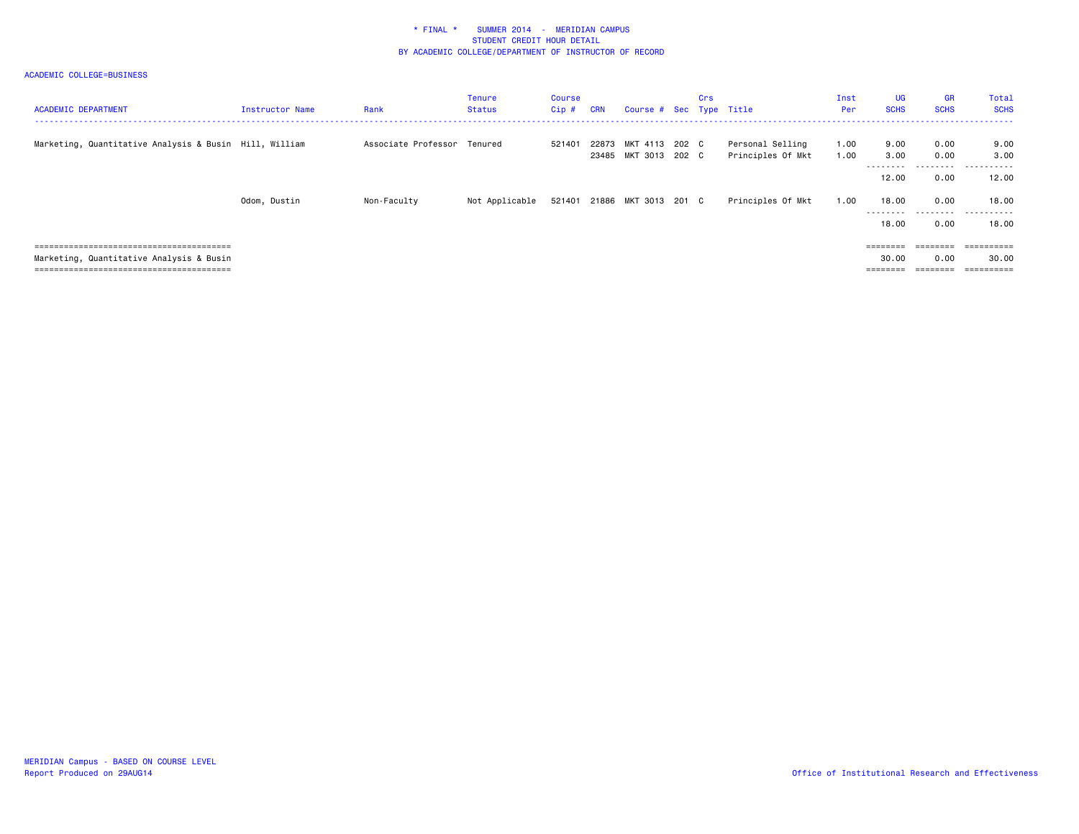| <b>ACADEMIC DEPARTMENT</b>                             | Instructor Name | Rank                        | Tenure<br><b>Status</b> | Course<br>Cip# | <b>CRN</b> | Course # Sec Type Title                      | Crs |                                       | Inst<br>Per  | UG<br><b>SCHS</b>  | <b>GR</b><br><b>SCHS</b> | Total<br><b>SCHS</b>           |
|--------------------------------------------------------|-----------------|-----------------------------|-------------------------|----------------|------------|----------------------------------------------|-----|---------------------------------------|--------------|--------------------|--------------------------|--------------------------------|
| Marketing, Quantitative Analysis & Busin Hill, William |                 | Associate Professor Tenured |                         | 521401         |            | 22873 MKT 4113 202 C<br>23485 MKT 3013 202 C |     | Personal Selling<br>Principles Of Mkt | 1.00<br>1.00 | 9.00<br>3.00       | 0.00<br>0.00             | 9.00<br>3.00                   |
|                                                        |                 |                             |                         |                |            |                                              |     |                                       |              | ---------<br>12.00 | ---------<br>0.00        | - - - - - - -<br>----<br>12.00 |
|                                                        | Odom, Dustin    | Non-Faculty                 | Not Applicable          |                |            | 521401 21886 MKT 3013 201 C                  |     | Principles Of Mkt                     | 1.00         | 18,00<br>--------- | 0.00<br>. <b>.</b> .     | 18.00<br>----<br>.             |
|                                                        |                 |                             |                         |                |            |                                              |     |                                       |              | 18,00              | 0.00                     | 18,00                          |
|                                                        |                 |                             |                         |                |            |                                              |     |                                       |              |                    | $=$ = = = = = = =        |                                |
| Marketing, Quantitative Analysis & Busin               |                 |                             |                         |                |            |                                              |     |                                       |              | 30.00              | 0.00                     | 30.00                          |
|                                                        |                 |                             |                         |                |            |                                              |     |                                       |              | ========           | ========                 | $=$ = = = = = = = = =          |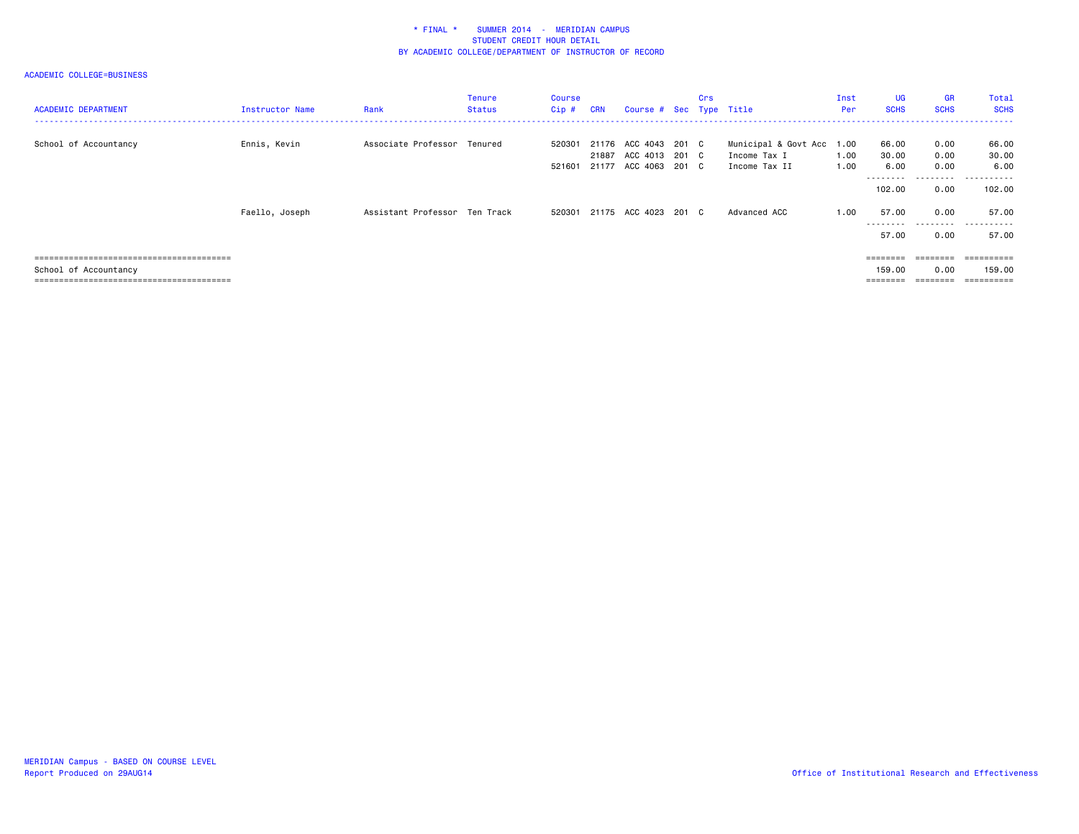| <b>ACADEMIC DEPARTMENT</b> | Instructor Name | Rank                          | Tenure<br>Status | <b>Course</b><br>Cip # | <b>CRN</b> | Course # Sec Type Title                                              | Crs |                                                            | Inst<br>Per  | UG<br><b>SCHS</b>                   | <b>GR</b><br><b>SCHS</b>  | Total<br><b>SCHS</b>        |
|----------------------------|-----------------|-------------------------------|------------------|------------------------|------------|----------------------------------------------------------------------|-----|------------------------------------------------------------|--------------|-------------------------------------|---------------------------|-----------------------------|
| School of Accountancy      | Ennis, Kevin    | Associate Professor Tenured   |                  | 520301<br>521601       |            | 21176 ACC 4043 201 C<br>21887 ACC 4013 201 C<br>21177 ACC 4063 201 C |     | Municipal & Govt Acc 1.00<br>Income Tax I<br>Income Tax II | 1.00<br>1.00 | 66.00<br>30.00<br>6.00<br>--------- | 0.00<br>0.00<br>0.00<br>. | 66.00<br>30.00<br>6.00<br>. |
|                            |                 |                               |                  |                        |            |                                                                      |     |                                                            |              | 102.00                              | 0.00                      | 102,00                      |
|                            | Faello, Joseph  | Assistant Professor Ten Track |                  |                        |            | 520301 21175 ACC 4023 201 C                                          |     | Advanced ACC                                               | 1.00         | 57.00                               | 0.00<br>--------          | 57.00<br>-------<br>$- - -$ |
|                            |                 |                               |                  |                        |            |                                                                      |     |                                                            |              | 57.00                               | 0.00                      | 57.00                       |
|                            |                 |                               |                  |                        |            |                                                                      |     |                                                            |              | ========                            | ========                  | ==========                  |
| School of Accountancy      |                 |                               |                  |                        |            |                                                                      |     |                                                            |              | 159.00<br>========                  | 0.00<br>---------         | 159.00<br>==========        |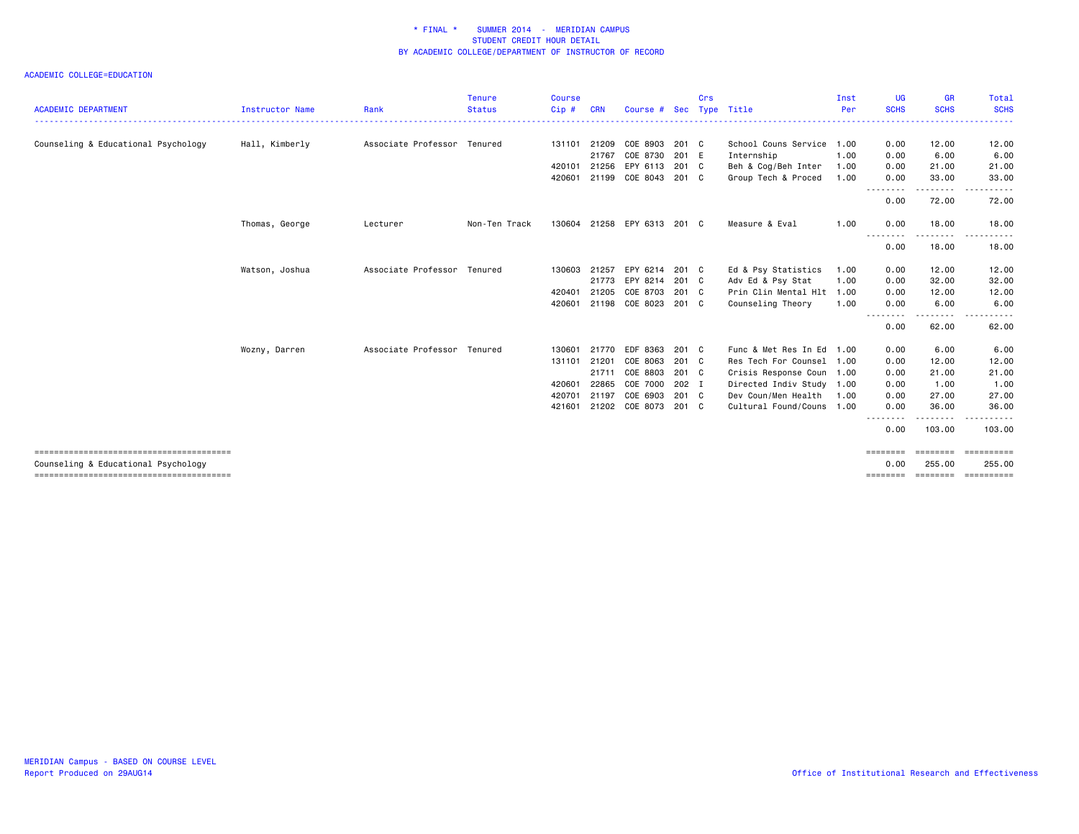| <b>Status</b><br>Cip#<br>Associate Professor Tenured<br>131101<br>420101<br>420601 | <b>CRN</b><br>21209<br>21767 | Course #<br>COE 8903<br>COE 8730                                             | Sec<br>201 C<br>201 E                              | Type Title<br>School Couns Service 1.00                                                               | Per  | <b>SCHS</b><br>0.00                                                                                                                                                                | <b>SCHS</b>        | <b>SCHS</b>                            |
|------------------------------------------------------------------------------------|------------------------------|------------------------------------------------------------------------------|----------------------------------------------------|-------------------------------------------------------------------------------------------------------|------|------------------------------------------------------------------------------------------------------------------------------------------------------------------------------------|--------------------|----------------------------------------|
|                                                                                    |                              |                                                                              |                                                    |                                                                                                       |      |                                                                                                                                                                                    |                    |                                        |
|                                                                                    |                              |                                                                              |                                                    |                                                                                                       |      |                                                                                                                                                                                    | 12.00              | 12.00                                  |
|                                                                                    |                              |                                                                              |                                                    | Internship                                                                                            | 1.00 | 0.00                                                                                                                                                                               | 6.00               | 6.00                                   |
|                                                                                    |                              | 21256 EPY 6113 201 C                                                         |                                                    | Beh & Cog/Beh Inter                                                                                   | 1.00 | 0.00                                                                                                                                                                               | 21.00              | 21.00                                  |
|                                                                                    |                              | 21199 COE 8043 201 C                                                         |                                                    | Group Tech & Proced                                                                                   | 1.00 | 0.00<br>--------                                                                                                                                                                   | 33,00<br><u>.</u>  | 33,00<br>. <b>.</b> .<br>$\sim$ $\sim$ |
|                                                                                    |                              |                                                                              |                                                    |                                                                                                       |      | 0.00                                                                                                                                                                               | 72.00              | 72.00                                  |
| Non-Ten Track<br>130604                                                            |                              | 21258 EPY 6313 201 C                                                         |                                                    | Measure & Eval                                                                                        | 1.00 | 0.00<br>.                                                                                                                                                                          | 18,00              | 18.00                                  |
|                                                                                    |                              |                                                                              |                                                    |                                                                                                       |      | 0.00                                                                                                                                                                               | 18.00              | 18.00                                  |
| Associate Professor Tenured                                                        | 21257                        | EPY 6214                                                                     |                                                    | Ed & Psy Statistics                                                                                   | 1.00 | 0.00                                                                                                                                                                               | 12.00              | 12.00                                  |
|                                                                                    |                              |                                                                              |                                                    | Adv Ed & Psy Stat                                                                                     | 1.00 | 0.00                                                                                                                                                                               | 32.00              | 32.00                                  |
|                                                                                    | 21205                        | COE 8703                                                                     |                                                    |                                                                                                       |      | 0.00                                                                                                                                                                               | 12.00              | 12.00                                  |
|                                                                                    |                              |                                                                              |                                                    | Counseling Theory                                                                                     | 1.00 | 0.00                                                                                                                                                                               | 6.00               | 6.00                                   |
|                                                                                    |                              |                                                                              |                                                    |                                                                                                       |      | 0.00                                                                                                                                                                               | 62.00              | 62.00                                  |
| Associate Professor Tenured                                                        |                              |                                                                              |                                                    |                                                                                                       |      | 0.00                                                                                                                                                                               | 6.00               | 6.00                                   |
|                                                                                    | 21201                        | COE 8063                                                                     |                                                    |                                                                                                       |      | 0.00                                                                                                                                                                               | 12.00              | 12.00                                  |
|                                                                                    | 21711                        | COE 8803                                                                     |                                                    |                                                                                                       |      | 0.00                                                                                                                                                                               | 21.00              | 21.00                                  |
|                                                                                    | 22865                        | COE 7000                                                                     |                                                    |                                                                                                       |      | 0.00                                                                                                                                                                               | 1.00               | 1.00                                   |
|                                                                                    | 21197                        | COE 6903                                                                     |                                                    | Dev Coun/Men Health                                                                                   |      | 0.00                                                                                                                                                                               | 27.00              | 27,00                                  |
|                                                                                    |                              |                                                                              |                                                    |                                                                                                       |      | 0.00                                                                                                                                                                               | 36.00              | 36.00<br>.                             |
|                                                                                    |                              |                                                                              |                                                    |                                                                                                       |      | 0.00                                                                                                                                                                               | 103.00             | 103,00                                 |
|                                                                                    |                              |                                                                              |                                                    |                                                                                                       |      |                                                                                                                                                                                    |                    |                                        |
|                                                                                    |                              |                                                                              |                                                    |                                                                                                       |      | ========<br>0.00                                                                                                                                                                   | ========<br>255,00 | ==========<br>255,00                   |
|                                                                                    |                              | 130603<br>420401<br>420601<br>130601<br>131101<br>420601<br>420701<br>421601 | 21773 EPY 8214<br>21198 COE 8023<br>21770 EDF 8363 | 201 C<br>201 C<br>201 C<br>201 C<br>201 C<br>201 C<br>201 C<br>202 I<br>201 C<br>21202 COE 8073 201 C |      | Prin Clin Mental Hlt 1.00<br>Func & Met Res In Ed 1.00<br>Res Tech For Counsel 1.00<br>Crisis Response Coun 1.00<br>Directed Indiv Study 1.00<br>1.00<br>Cultural Found/Couns 1.00 | ----<br>--------   | ------<br>.                            |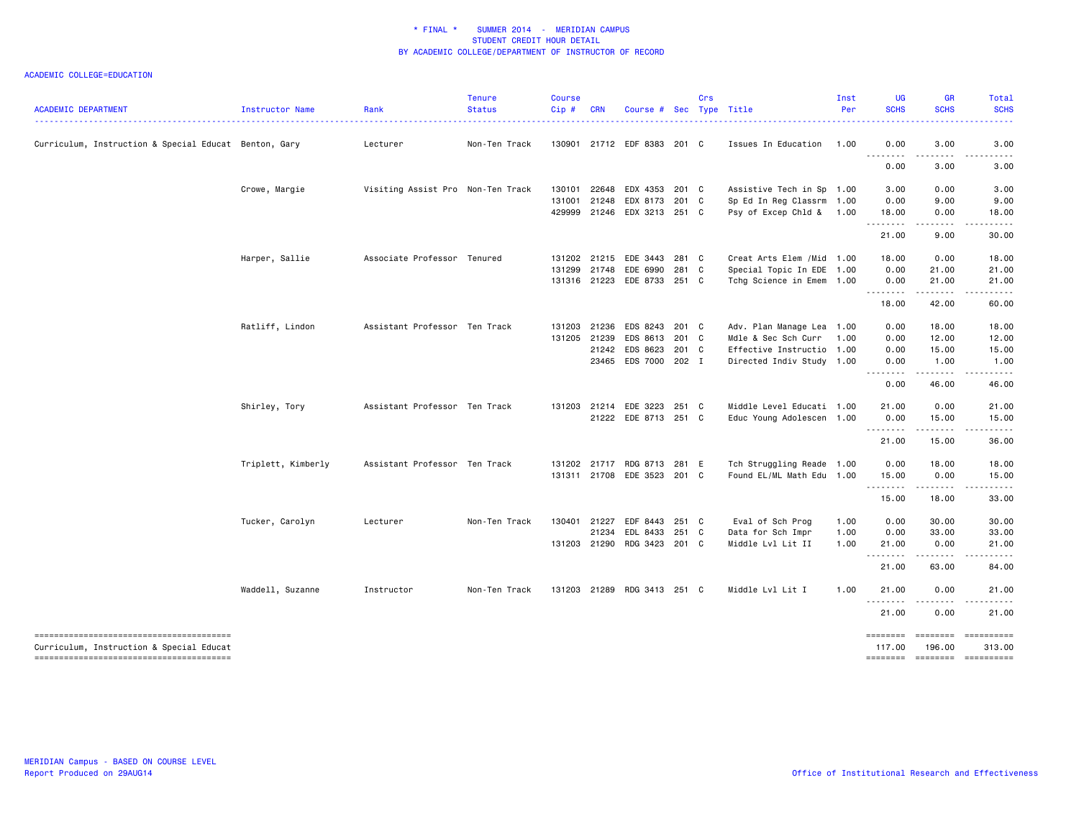| <b>ACADEMIC DEPARTMENT</b>                                                         | Instructor Name    | Rank                              | <b>Tenure</b><br><b>Status</b> | <b>Course</b><br>Cip# | <b>CRN</b>   | Course # Sec Type Title     |       | Crs |                            | Inst<br>Per | <b>UG</b><br><b>SCHS</b> | GR<br><b>SCHS</b>             | Total<br><b>SCHS</b> |
|------------------------------------------------------------------------------------|--------------------|-----------------------------------|--------------------------------|-----------------------|--------------|-----------------------------|-------|-----|----------------------------|-------------|--------------------------|-------------------------------|----------------------|
| Curriculum, Instruction & Special Educat Benton, Gary                              |                    | Lecturer                          | Non-Ten Track                  |                       |              | 130901 21712 EDF 8383 201 C |       |     | Issues In Education        | 1.00        | 0.00                     | 3.00                          | 3.00                 |
|                                                                                    |                    |                                   |                                |                       |              |                             |       |     |                            |             | .<br>0.00                | د د د د<br>3.00               | 3.00                 |
|                                                                                    | Crowe, Margie      | Visiting Assist Pro Non-Ten Track |                                | 130101                | 22648        | EDX 4353 201 C              |       |     | Assistive Tech in Sp 1.00  |             | 3.00                     | 0.00                          | 3.00                 |
|                                                                                    |                    |                                   |                                | 131001                |              | 21248 EDX 8173 201 C        |       |     | Sp Ed In Reg Classrm 1.00  |             | 0.00                     | 9.00                          | 9.00                 |
|                                                                                    |                    |                                   |                                | 429999                |              | 21246 EDX 3213 251 C        |       |     | Psy of Excep Chld & 1.00   |             | 18.00<br>.               | 0.00<br>$- - - -$             | 18.00<br>.           |
|                                                                                    |                    |                                   |                                |                       |              |                             |       |     |                            |             | 21.00                    | 9.00                          | 30.00                |
|                                                                                    | Harper, Sallie     | Associate Professor Tenured       |                                |                       | 131202 21215 | EDE 3443 281 C              |       |     | Creat Arts Elem / Mid 1.00 |             | 18.00                    | 0.00                          | 18.00                |
|                                                                                    |                    |                                   |                                | 131299                | 21748        | EDE 6990 281 C              |       |     | Special Topic In EDE 1.00  |             | 0.00                     | 21.00                         | 21.00                |
|                                                                                    |                    |                                   |                                |                       |              | 131316 21223 EDE 8733 251 C |       |     | Tchg Science in Emem 1.00  |             | 0.00<br>.                | 21.00<br>.                    | 21.00<br>. <b>.</b>  |
|                                                                                    |                    |                                   |                                |                       |              |                             |       |     |                            |             | 18.00                    | 42.00                         | 60.00                |
|                                                                                    | Ratliff, Lindon    | Assistant Professor Ten Track     |                                | 131203                | 21236        | EDS 8243 201 C              |       |     | Adv. Plan Manage Lea 1.00  |             | 0.00                     | 18.00                         | 18.00                |
|                                                                                    |                    |                                   |                                | 131205                | 21239        | EDS 8613 201 C              |       |     | Mdle & Sec Sch Curr        | 1.00        | 0.00                     | 12.00                         | 12.00                |
|                                                                                    |                    |                                   |                                |                       |              | 21242 EDS 8623              | 201 C |     | Effective Instructio 1.00  |             | 0.00                     | 15.00                         | 15.00                |
|                                                                                    |                    |                                   |                                |                       |              | 23465 EDS 7000 202 I        |       |     | Directed Indiv Study 1.00  |             | 0.00                     | 1.00                          | 1.00                 |
|                                                                                    |                    |                                   |                                |                       |              |                             |       |     |                            |             | .<br>0.00                | .<br>46.00                    | .<br>46.00           |
|                                                                                    | Shirley, Tory      | Assistant Professor Ten Track     |                                |                       | 131203 21214 | EDE 3223 251 C              |       |     | Middle Level Educati 1.00  |             | 21.00                    | 0.00                          | 21.00                |
|                                                                                    |                    |                                   |                                |                       |              | 21222 EDE 8713 251 C        |       |     | Educ Young Adolescen 1.00  |             | 0.00                     | 15.00                         | 15.00                |
|                                                                                    |                    |                                   |                                |                       |              |                             |       |     |                            |             | .<br>21.00               | .<br>15.00                    | 36.00                |
|                                                                                    | Triplett, Kimberly | Assistant Professor Ten Track     |                                | 131202                |              | 21717 RDG 8713 281 E        |       |     | Tch Struggling Reade 1.00  |             | 0.00                     | 18.00                         | 18.00                |
|                                                                                    |                    |                                   |                                |                       |              | 131311 21708 EDE 3523 201 C |       |     | Found EL/ML Math Edu 1.00  |             | 15.00                    | 0.00                          | 15.00                |
|                                                                                    |                    |                                   |                                |                       |              |                             |       |     |                            |             | <u>.</u><br>15.00        | .<br>18.00                    | .<br>33.00           |
|                                                                                    | Tucker, Carolyn    | Lecturer                          | Non-Ten Track                  | 130401                | 21227        | EDF 8443 251 C              |       |     | Eval of Sch Prog           | 1.00        | 0.00                     | 30.00                         | 30.00                |
|                                                                                    |                    |                                   |                                |                       | 21234        | EDL 8433                    | 251 C |     | Data for Sch Impr          | 1.00        | 0.00                     | 33.00                         | 33.00                |
|                                                                                    |                    |                                   |                                |                       |              | 131203 21290 RDG 3423 201 C |       |     | Middle Lvl Lit II          | 1.00        | 21.00                    | 0.00                          | 21.00                |
|                                                                                    |                    |                                   |                                |                       |              |                             |       |     |                            |             | .<br>21.00               | ------<br>63.00               | .<br>84.00           |
|                                                                                    | Waddell, Suzanne   | Instructor                        | Non-Ten Track                  |                       |              | 131203 21289 RDG 3413 251 C |       |     | Middle Lvl Lit I           | 1.00        | 21.00                    | 0.00                          | 21.00                |
|                                                                                    |                    |                                   |                                |                       |              |                             |       |     |                            |             | 21.00                    | 0.00                          | 21.00                |
| --------------------------------------<br>Curriculum, Instruction & Special Educat |                    |                                   |                                |                       |              |                             |       |     |                            |             | ========<br>117,00       | ======== ==========<br>196.00 | 313,00               |
|                                                                                    |                    |                                   |                                |                       |              |                             |       |     |                            |             | ========                 | <b>ESSESSES</b>               | - ==========         |